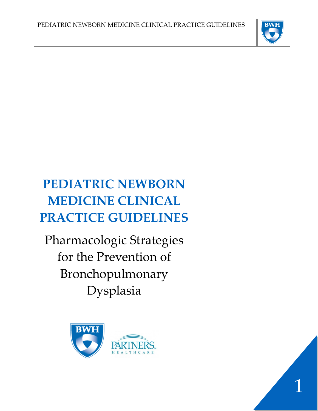

# **PEDIATRIC NEWBORN MEDICINE CLINICAL PRACTICE GUIDELINES**

Pharmacologic Strategies for the Prevention of Bronchopulmonary Dysplasia



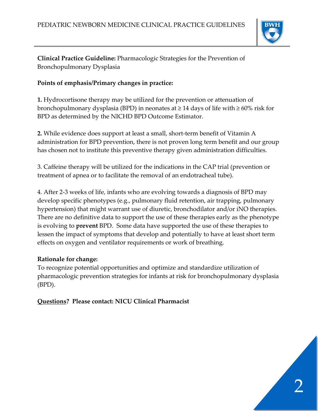

**Clinical Practice Guideline:** Pharmacologic Strategies for the Prevention of Bronchopulmonary Dysplasia

# **Points of emphasis/Primary changes in practice:**

**1.** Hydrocortisone therapy may be utilized for the prevention or attenuation of bronchopulmonary dysplasia (BPD) in neonates at ≥ 14 days of life with ≥ 60% risk for BPD as determined by the NICHD BPD Outcome Estimator.

**2.** While evidence does support at least a small, short-term benefit of Vitamin A administration for BPD prevention, there is not proven long term benefit and our group has chosen not to institute this preventive therapy given administration difficulties.

3. Caffeine therapy will be utilized for the indications in the CAP trial (prevention or treatment of apnea or to facilitate the removal of an endotracheal tube).

4. After 2-3 weeks of life, infants who are evolving towards a diagnosis of BPD may develop specific phenotypes (e.g., pulmonary fluid retention, air trapping, pulmonary hypertension) that might warrant use of diuretic, bronchodilator and/or iNO therapies. There are no definitive data to support the use of these therapies early as the phenotype is evolving to **prevent** BPD. Some data have supported the use of these therapies to lessen the impact of symptoms that develop and potentially to have at least short term effects on oxygen and ventilator requirements or work of breathing.

## **Rationale for change:**

To recognize potential opportunities and optimize and standardize utilization of pharmacologic prevention strategies for infants at risk for bronchopulmonary dysplasia (BPD).

**Questions? Please contact: NICU Clinical Pharmacist** 

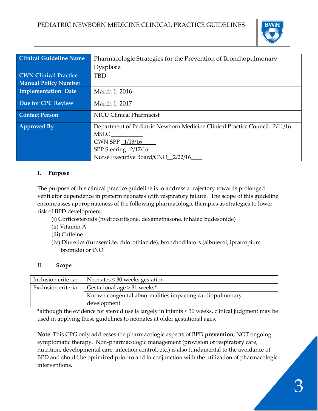

| <b>Clinical Guideline Name</b> | Pharmacologic Strategies for the Prevention of Bronchopulmonary            |
|--------------------------------|----------------------------------------------------------------------------|
|                                | Dysplasia                                                                  |
| <b>CWN Clinical Practice</b>   | <b>TBD</b>                                                                 |
| <b>Manual Policy Number</b>    |                                                                            |
| Implementation Date            | March 1, 2016                                                              |
| Due for CPC Review             | March 1, 2017                                                              |
| <b>Contact Person</b>          | <b>NICU Clinical Pharmacist</b>                                            |
| <b>Approved By</b>             | Department of Pediatric Newborn Medicine Clinical Practice Council 2/11/16 |
|                                | <b>MSEC</b>                                                                |
|                                | CWN SPP 1/13/16                                                            |
|                                | SPP Steering 2/17/16                                                       |
|                                | Nurse Executive Board/CNO 2/22/16                                          |

## **I. Purpose**

The purpose of this clinical practice guideline is to address a trajectory towards prolonged ventilator dependence in preterm neonates with respiratory failure. The scope of this guideline encompasses appropriateness of the following pharmacologic therapies as strategies to lower risk of BPD development:

- (i) Corticosteroids (hydrocortisone, dexamethasone, inhaled budesonide)
- (ii) Vitamin A
- (iii) Caffeine
- (iv) Diuretics (furosemide, chlorothiazide), bronchodilators (albuterol, ipratropium bromide) or iNO

#### II. **Scope**

| Inclusion criteria: | Neonates $\leq$ 30 weeks gestation                       |
|---------------------|----------------------------------------------------------|
| Exclusion criteria: | Gestational age $> 31$ weeks*                            |
|                     | Known congenital abnormalities impacting cardiopulmonary |
|                     | development                                              |

\*although the evidence for steroid use is largely in infants < 30 weeks, clinical judgment may be used in applying these guidelines to neonates at older gestational ages.

**Note**: This CPG only addresses the pharmacologic aspects of BPD **prevention**, NOT ongoing symptomatic therapy. Non-pharmacologic management (provision of respiratory care, nutrition, developmental care, infection control, etc.) is also fundamental to the avoidance of BPD and should be optimized prior to and in conjunction with the utilization of pharmacologic interventions.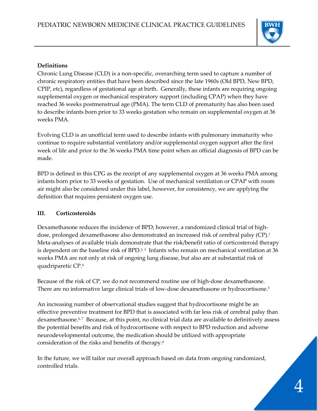

#### **Definitions**

Chronic Lung Disease (CLD) is a non-specific, overarching term used to capture a number of chronic respiratory entities that have been described since the late 1960s (Old BPD, New BPD, CPIP, etc), regardless of gestational age at birth. Generally, these infants are requiring ongoing supplemental oxygen or mechanical respiratory support (including CPAP) when they have reached 36 weeks postmenstrual age (PMA). The term CLD of prematurity has also been used to describe infants born prior to 33 weeks gestation who remain on supplemental oxygen at 36 weeks PMA.

Evolving CLD is an unofficial term used to describe infants with pulmonary immaturity who continue to require substantial ventilatory and/or supplemental oxygen support after the first week of life and prior to the 36 weeks PMA time point when an official diagnosis of BPD can be made.

BPD is defined in this CPG as the receipt of any supplemental oxygen at 36 weeks PMA among infants born prior to 33 weeks of gestation. Use of mechanical ventilation or CPAP with room air might also be considered under this label, however, for consistency, we are applying the definition that requires persistent oxygen use.

#### **III. Corticosteroids**

Dexamethasone reduces the incidence of BPD; however, a randomized clinical trial of highdose, prolonged dexamethasone also demonstrated an increased risk of cerebral palsy (CP).<sup>1</sup> Meta-analyses of available trials demonstrate that the risk/benefit ratio of corticosteroid therapy is dependent on the baseline risk of BPD.<sup>2, 3</sup> Infants who remain on mechanical ventilation at 36 weeks PMA are not only at risk of ongoing lung disease, but also are at substantial risk of quadriparetic CP[.](#page-9-3) 4

Because of the risk of CP, we do not recommend routine use of high-dose dexamethasone. There are no informative large clinical trials of low-dose dexamethasone or hydrocortison[e.](#page-9-4) 5

An increasing number of observational studies suggest that hydrocortisone might be an effective preventive treatment for BPD that is associated with far less risk of cerebral palsy than dexamethasone.<sup>[6,](#page-9-5)7</sup> Because, at this point, no clinical trial data are available to definitively assess the potential benefits and risk of hydrocortisone with respect to BPD reduction and adverse neurodevelopmental outcome, the medication should be utilized with appropriate consideration of the risks and benefits of therapy[.8](#page-9-7) 

In the future, we will tailor our overall approach based on data from ongoing randomized, controlled trials.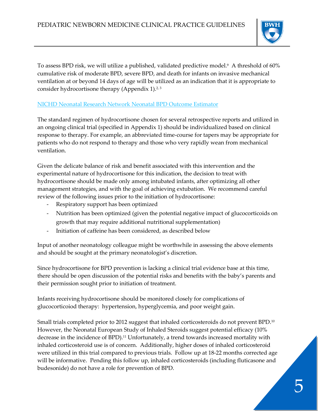

To assess BPD risk, we will utilize a published, validated predictive model[.9](#page-9-8) A threshold of 60% cumulative risk of moderate BPD, severe BPD, and death for infants on invasive mechanical ventilation at or beyond 14 days of age will be utilized as an indication that it is appropriate to consider hydrocortisone therapy (Appendix 1). $2,3$ 

## [NICHD Neonatal Research Network Neonatal BPD Outcome Estimator](https://neonatal.rti.org/index.cfm?fuseaction=tools.main)

The standard regimen of hydrocortisone chosen for several retrospective reports and utilized in an ongoing clinical trial (specified in Appendix 1) should be individualized based on clinical response to therapy. For example, an abbreviated time-course for tapers may be appropriate for patients who do not respond to therapy and those who very rapidly wean from mechanical ventilation.

Given the delicate balance of risk and benefit associated with this intervention and the experimental nature of hydrocortisone for this indication, the decision to treat with hydrocortisone should be made only among intubated infants, after optimizing all other management strategies, and with the goal of achieving extubation. We recommend careful review of the following issues prior to the initiation of hydrocortisone:

- Respiratory support has been optimized
- Nutrition has been optimized (given the potential negative impact of glucocorticoids on growth that may require additional nutritional supplementation)
- Initiation of caffeine has been considered, as described below

Input of another neonatology colleague might be worthwhile in assessing the above elements and should be sought at the primary neonatologist's discretion.

Since hydrocortisone for BPD prevention is lacking a clinical trial evidence base at this time, there should be open discussion of the potential risks and benefits with the baby's parents and their permission sought prior to initiation of treatment.

Infants receiving hydrocortisone should be monitored closely for complications of glucocorticoiod therapy: hypertension, hyperglycemia, and poor weight gain.

Small trials completed prior to 2012 suggest that inhaled corticosteroids do not prevent BPD.<sup>10</sup> However, the Neonatal European Study of Inhaled Steroids suggest potential efficacy (10% decrease in the incidence of BPD[\).11](#page-9-10) Unfortunately, a trend towards increased mortality with inhaled corticosteroid use is of concern. Additionally, higher doses of inhaled corticosteroid were utilized in this trial compared to previous trials. Follow up at 18-22 months corrected age will be informative. Pending this follow up, inhaled corticosteroids (including fluticasone and budesonide) do not have a role for prevention of BPD.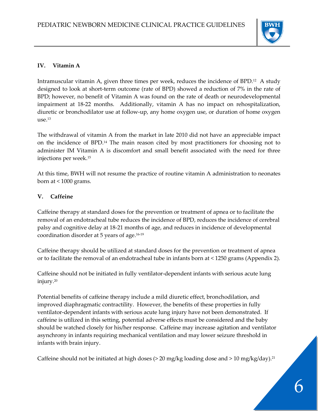

## **IV. Vitamin A**

Intramuscular vitamin A, given three times per week, reduces the incidence of BPD[.12](#page-9-11) A study designed to look at short-term outcome (rate of BPD) showed a reduction of 7% in the rate of BPD; however, no benefit of Vitamin A was found on the rate of death or neurodevelopmental impairment at 18-22 months. Additionally, vitamin A has no impact on rehospitalization, diuretic or bronchodilator use at follow-up, any home oxygen use, or duration of home oxygen  $11$ Se $^{13}$ 

The withdrawal of vitamin A from the market in late 2010 did not have an appreciable impact on the incidence of BPD[.14](#page-10-0) The main reason cited by most practitioners for choosing not to administer IM Vitamin A is discomfort and small benefit associated with the need for three injections per week[.15](#page-10-1) 

At this time, BWH will not resume the practice of routine vitamin A administration to neonates born at < 1000 grams.

## **V. Caffeine**

Caffeine therapy at standard doses for the prevention or treatment of apnea or to facilitate the removal of an endotracheal tube reduces the incidence of BPD, reduces the incidence of cerebral palsy and cognitive delay at 18-21 months of age, and reduces in incidence of developmental coordination disorder at 5 years of age[.16-19](#page-10-2)

Caffeine therapy should be utilized at standard doses for the prevention or treatment of apnea or to facilitate the removal of an endotracheal tube in infants born at < 1250 grams (Appendix 2).

Caffeine should not be initiated in fully ventilator-dependent infants with serious acute lung injury[.20](#page-10-3)

Potential benefits of caffeine therapy include a mild diuretic effect, bronchodilation, and improved diaphragmatic contractility. However, the benefits of these properties in fully ventilator-dependent infants with serious acute lung injury have not been demonstrated. If caffeine is utilized in this setting, potential adverse effects must be considered and the baby should be watched closely for his/her response. Caffeine may increase agitation and ventilator asynchrony in infants requiring mechanical ventilation and may lower seizure threshold in infants with brain injury.

Caffeine should not be initiated at high doses (> 20 mg/kg loading dose and > 10 mg/kg/day). [21](#page-10-4)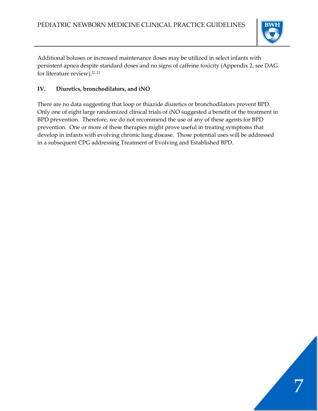

Additional boluses or increased maintenance doses may be utilized in select infants with persistent apnea despite standard doses and no signs of caffeine toxicity (Appendix 2, see DAG for literature review). [22,](#page-10-5) [23](#page-10-6)

# **IV. Diuretics, bronchodilators, and iNO**

There are no data suggesting that loop or thiazide diuretics or bronchodilators prevent BPD. Only one of eight large randomized clinical trials of iNO suggested a benefit of the treatment in BPD prevention. Therefore, we do not recommend the use of any of these agents for BPD prevention. One or more of these therapies might prove useful in treating symptoms that develop in infants with evolving chronic lung disease. Those potential uses will be addressed in a subsequent CPG addressing Treatment of Evolving and Established BPD.

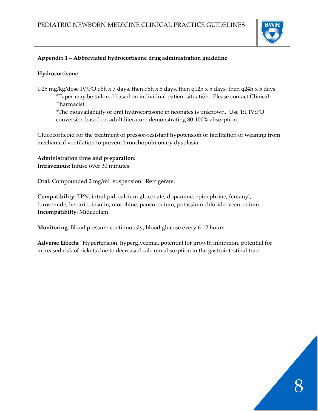

## **Appendix 1 – Abbreviated hydrocortisone drug administration guideline**

#### **Hydrocortisone**

1.25 mg/kg/dose IV/PO q6h x 7 days, then q8h x 5 days, then q12h x 5 days, then q24h x 5 days \*Taper may be tailored based on individual patient situation. Please contact Clinical Pharmacist.

\*The bioavailability of oral hydrocortisone in neonates is unknown. Use 1:1 IV:PO conversion based on adult literature demonstrating 80-100% absorption.

Glucocorticoid for the treatment of pressor-resistant hypotension or facilitation of weaning from mechanical ventilation to prevent bronchopulmonary dysplasia

#### **Administration time and preparation:**

**Intravenous:** Infuse over 30 minutes

**Oral:** Compounded 2 mg/mL suspension. Refrigerate.

**Compatibility:** TPN, intralipid, calcium gluconate, dopamine, epinephrine, fentanyl, furosemide, heparin, insulin, morphine, pancuronium, potassium chloride, vecuronium **Incompatibilty**: Midazolam

**Monitoring**: Blood pressure continuously, blood glucose every 6-12 hours

**Adverse Effects**: Hypertension, hyperglycemia, potential for growth inhibition, potential for increased risk of rickets due to decreased calcium absorption in the gastrointestinal tract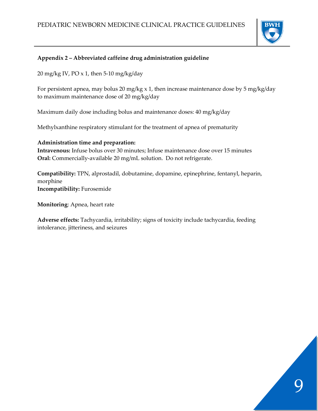

## **Appendix 2 – Abbreviated caffeine drug administration guideline**

20 mg/kg IV, PO  $\times$  1, then 5-10 mg/kg/day

For persistent apnea, may bolus 20 mg/kg x 1, then increase maintenance dose by 5 mg/kg/day to maximum maintenance dose of 20 mg/kg/day

Maximum daily dose including bolus and maintenance doses: 40 mg/kg/day

Methylxanthine respiratory stimulant for the treatment of apnea of prematurity

#### **Administration time and preparation:**

**Intravenous:** Infuse bolus over 30 minutes; Infuse maintenance dose over 15 minutes **Oral:** Commercially-available 20 mg/mL solution. Do not refrigerate.

**Compatibility:** TPN, alprostadil, dobutamine, dopamine, epinephrine, fentanyl, heparin, morphine **Incompatibility:** Furosemide

**Monitoring**: Apnea, heart rate

**Adverse effects:** Tachycardia, irritability; signs of toxicity include tachycardia, feeding intolerance, jitteriness, and seizures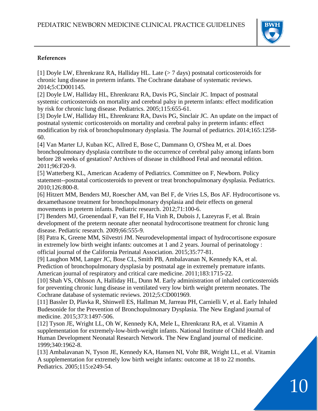

#### **References**

<span id="page-9-0"></span>[1] Doyle LW, Ehrenkranz RA, Halliday HL. Late (> 7 days) postnatal corticosteroids for chronic lung disease in preterm infants. The Cochrane database of systematic reviews. 2014;5:CD001145.

<span id="page-9-1"></span>[2] Doyle LW, Halliday HL, Ehrenkranz RA, Davis PG, Sinclair JC. Impact of postnatal systemic corticosteroids on mortality and cerebral palsy in preterm infants: effect modification by risk for chronic lung disease. Pediatrics. 2005;115:655-61.

<span id="page-9-2"></span>[3] Doyle LW, Halliday HL, Ehrenkranz RA, Davis PG, Sinclair JC. An update on the impact of postnatal systemic corticosteroids on mortality and cerebral palsy in preterm infants: effect modification by risk of bronchopulmonary dysplasia. The Journal of pediatrics. 2014;165:1258- 60.

<span id="page-9-3"></span>[4] Van Marter LJ, Kuban KC, Allred E, Bose C, Dammann O, O'Shea M, et al. Does bronchopulmonary dysplasia contribute to the occurrence of cerebral palsy among infants born before 28 weeks of gestation? Archives of disease in childhood Fetal and neonatal edition. 2011;96:F20-9.

<span id="page-9-4"></span>[5] Watterberg KL, American Academy of Pediatrics. Committee on F, Newborn. Policy statement--postnatal corticosteroids to prevent or treat bronchopulmonary dysplasia. Pediatrics. 2010;126:800-8.

<span id="page-9-5"></span>[6] Hitzert MM, Benders MJ, Roescher AM, van Bel F, de Vries LS, Bos AF. Hydrocortisone vs. dexamethasone treatment for bronchopulmonary dysplasia and their effects on general movements in preterm infants. Pediatric research. 2012;71:100-6.

<span id="page-9-6"></span>[7] Benders MJ, Groenendaal F, van Bel F, Ha Vinh R, Dubois J, Lazeyras F, et al. Brain development of the preterm neonate after neonatal hydrocortisone treatment for chronic lung disease. Pediatric research. 2009;66:555-9.

<span id="page-9-7"></span>[8] Patra K, Greene MM, Silvestri JM. Neurodevelopmental impact of hydrocortisone exposure in extremely low birth weight infants: outcomes at 1 and 2 years. Journal of perinatology : official journal of the California Perinatal Association. 2015;35:77-81.

<span id="page-9-8"></span>[9] Laughon MM, Langer JC, Bose CL, Smith PB, Ambalavanan N, Kennedy KA, et al. Prediction of bronchopulmonary dysplasia by postnatal age in extremely premature infants. American journal of respiratory and critical care medicine. 2011;183:1715-22.

<span id="page-9-9"></span>[10] Shah VS, Ohlsson A, Halliday HL, Dunn M. Early administration of inhaled corticosteroids for preventing chronic lung disease in ventilated very low birth weight preterm neonates. The Cochrane database of systematic reviews. 2012;5:CD001969.

<span id="page-9-10"></span>[11] Bassler D, Plavka R, Shinwell ES, Hallman M, Jarreau PH, Carnielli V, et al. Early Inhaled Budesonide for the Prevention of Bronchopulmonary Dysplasia. The New England journal of medicine. 2015;373:1497-506.

<span id="page-9-11"></span>[12] Tyson JE, Wright LL, Oh W, Kennedy KA, Mele L, Ehrenkranz RA, et al. Vitamin A supplementation for extremely-low-birth-weight infants. National Institute of Child Health and Human Development Neonatal Research Network. The New England journal of medicine. 1999;340:1962-8.

<span id="page-9-12"></span>[13] Ambalavanan N, Tyson JE, Kennedy KA, Hansen NI, Vohr BR, Wright LL, et al. Vitamin A supplementation for extremely low birth weight infants: outcome at 18 to 22 months. Pediatrics. 2005;115:e249-54.